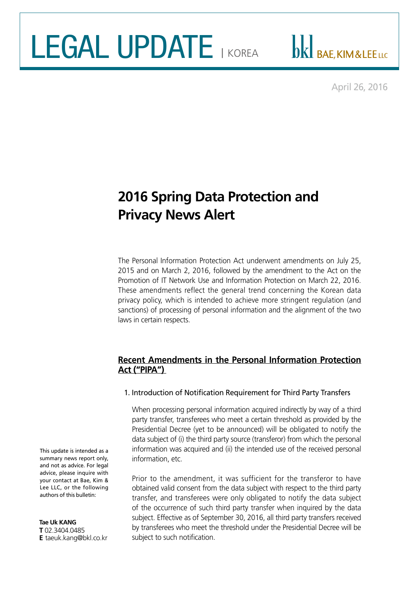# LEGAL UPDATE I KOREA

DK BAE, KIM&LEE LLC

April 26, 2016

## **2016 Spring Data Protection and Privacy News Alert**

The Personal Information Protection Act underwent amendments on July 25, 2015 and on March 2, 2016, followed by the amendment to the Act on the Promotion of IT Network Use and Information Protection on March 22, 2016. These amendments reflect the general trend concerning the Korean data privacy policy, which is intended to achieve more stringent regulation (and sanctions) of processing of personal information and the alignment of the two laws in certain respects.

#### **Recent Amendments in the Personal Information Protection Act ("PIPA")**

#### 1. Introduction of Notification Requirement for Third Party Transfers

When processing personal information acquired indirectly by way of a third party transfer, transferees who meet a certain threshold as provided by the Presidential Decree (yet to be announced) will be obligated to notify the data subject of (i) the third party source (transferor) from which the personal information was acquired and (ii) the intended use of the received personal information, etc.

Prior to the amendment, it was sufficient for the transferor to have obtained valid consent from the data subject with respect to the third party transfer, and transferees were only obligated to notify the data subject of the occurrence of such third party transfer when inquired by the data subject. Effective as of September 30, 2016, all third party transfers received by transferees who meet the threshold under the Presidential Decree will be subject to such notification.

This update is intended as a summary news report only, and not as advice. For legal advice, please inquire with your contact at Bae, Kim & Lee LLC, or the following authors of this bulletin:

**Tae Uk KANG T** 02.3404.0485 **E** taeuk.kang@bkl.co.kr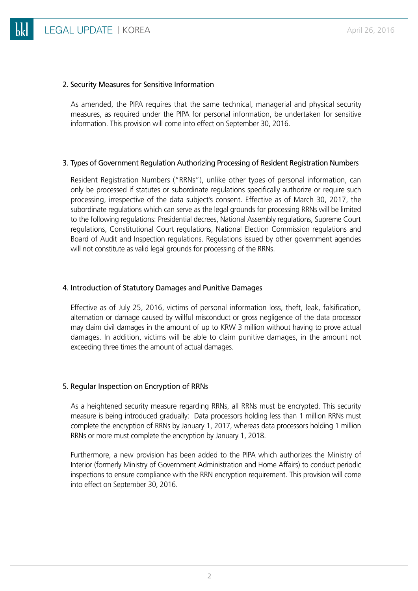#### 2. Security Measures for Sensitive Information

As amended, the PIPA requires that the same technical, managerial and physical security measures, as required under the PIPA for personal information, be undertaken for sensitive information. This provision will come into effect on September 30, 2016.

#### 3. Types of Government Regulation Authorizing Processing of Resident Registration Numbers

Resident Registration Numbers ("RRNs"), unlike other types of personal information, can only be processed if statutes or subordinate regulations specifically authorize or require such processing, irrespective of the data subject's consent. Effective as of March 30, 2017, the subordinate regulations which can serve as the legal grounds for processing RRNs will be limited to the following regulations: Presidential decrees, National Assembly regulations, Supreme Court regulations, Constitutional Court regulations, National Election Commission regulations and Board of Audit and Inspection regulations. Regulations issued by other government agencies will not constitute as valid legal grounds for processing of the RRNs.

#### 4. Introduction of Statutory Damages and Punitive Damages

Effective as of July 25, 2016, victims of personal information loss, theft, leak, falsification, alternation or damage caused by willful misconduct or gross negligence of the data processor may claim civil damages in the amount of up to KRW 3 million without having to prove actual damages. In addition, victims will be able to claim punitive damages, in the amount not exceeding three times the amount of actual damages.

#### 5. Regular Inspection on Encryption of RRNs

As a heightened security measure regarding RRNs, all RRNs must be encrypted. This security measure is being introduced gradually: Data processors holding less than 1 million RRNs must complete the encryption of RRNs by January 1, 2017, whereas data processors holding 1 million RRNs or more must complete the encryption by January 1, 2018.

Furthermore, a new provision has been added to the PIPA which authorizes the Ministry of Interior (formerly Ministry of Government Administration and Home Affairs) to conduct periodic inspections to ensure compliance with the RRN encryption requirement. This provision will come into effect on September 30, 2016.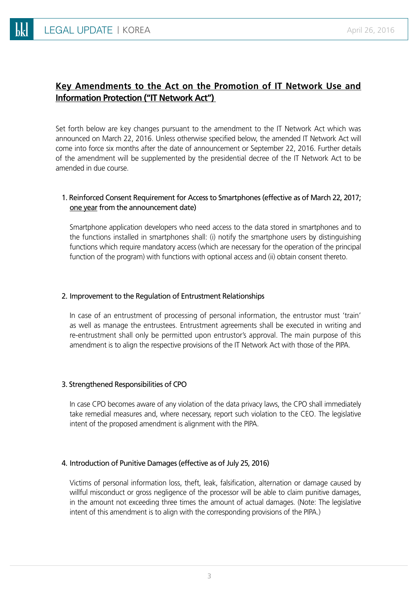### **Key Amendments to the Act on the Promotion of IT Network Use and Information Protection ("IT Network Act")**

Set forth below are key changes pursuant to the amendment to the IT Network Act which was announced on March 22, 2016. Unless otherwise specified below, the amended IT Network Act will come into force six months after the date of announcement or September 22, 2016. Further details of the amendment will be supplemented by the presidential decree of the IT Network Act to be amended in due course.

#### 1. Reinforced Consent Requirement for Access to Smartphones (effective as of March 22, 2017; one year from the announcement date)

Smartphone application developers who need access to the data stored in smartphones and to the functions installed in smartphones shall: (i) notify the smartphone users by distinguishing functions which require mandatory access (which are necessary for the operation of the principal function of the program) with functions with optional access and (ii) obtain consent thereto.

#### 2. Improvement to the Regulation of Entrustment Relationships

In case of an entrustment of processing of personal information, the entrustor must 'train' as well as manage the entrustees. Entrustment agreements shall be executed in writing and re-entrustment shall only be permitted upon entrustor's approval. The main purpose of this amendment is to align the respective provisions of the IT Network Act with those of the PIPA.

#### 3. Strengthened Responsibilities of CPO

In case CPO becomes aware of any violation of the data privacy laws, the CPO shall immediately take remedial measures and, where necessary, report such violation to the CEO. The legislative intent of the proposed amendment is alignment with the PIPA.

#### 4. Introduction of Punitive Damages (effective as of July 25, 2016)

Victims of personal information loss, theft, leak, falsification, alternation or damage caused by willful misconduct or gross negligence of the processor will be able to claim punitive damages, in the amount not exceeding three times the amount of actual damages. (Note: The legislative intent of this amendment is to align with the corresponding provisions of the PIPA.)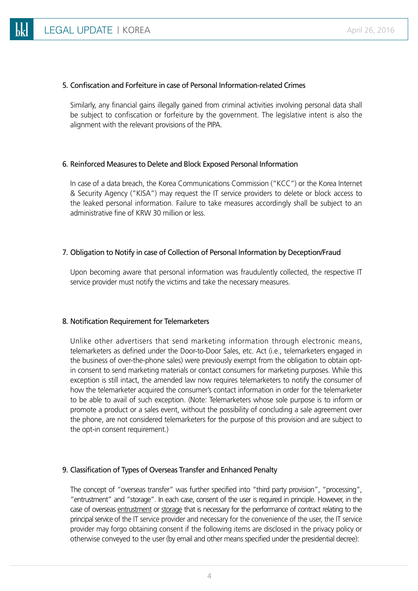#### 5. Confiscation and Forfeiture in case of Personal Information-related Crimes

Similarly, any financial gains illegally gained from criminal activities involving personal data shall be subject to confiscation or forfeiture by the government. The legislative intent is also the alignment with the relevant provisions of the PIPA.

#### 6. Reinforced Measures to Delete and Block Exposed Personal Information

In case of a data breach, the Korea Communications Commission ("KCC") or the Korea Internet & Security Agency ("KISA") may request the IT service providers to delete or block access to the leaked personal information. Failure to take measures accordingly shall be subject to an administrative fine of KRW 30 million or less.

#### 7. Obligation to Notify in case of Collection of Personal Information by Deception/Fraud

Upon becoming aware that personal information was fraudulently collected, the respective IT service provider must notify the victims and take the necessary measures.

#### 8. Notification Requirement for Telemarketers

Unlike other advertisers that send marketing information through electronic means, telemarketers as defined under the Door-to-Door Sales, etc. Act (i.e., telemarketers engaged in the business of over-the-phone sales) were previously exempt from the obligation to obtain optin consent to send marketing materials or contact consumers for marketing purposes. While this exception is still intact, the amended law now requires telemarketers to notify the consumer of how the telemarketer acquired the consumer's contact information in order for the telemarketer to be able to avail of such exception. (Note: Telemarketers whose sole purpose is to inform or promote a product or a sales event, without the possibility of concluding a sale agreement over the phone, are not considered telemarketers for the purpose of this provision and are subject to the opt-in consent requirement.)

#### 9. Classification of Types of Overseas Transfer and Enhanced Penalty

The concept of "overseas transfer" was further specified into "third party provision", "processing", "entrustment" and "storage". In each case, consent of the user is required in principle. However, in the case of overseas entrustment or storage that is necessary for the performance of contract relating to the principal service of the IT service provider and necessary for the convenience of the user, the IT service provider may forgo obtaining consent if the following items are disclosed in the privacy policy or otherwise conveyed to the user (by email and other means specified under the presidential decree):